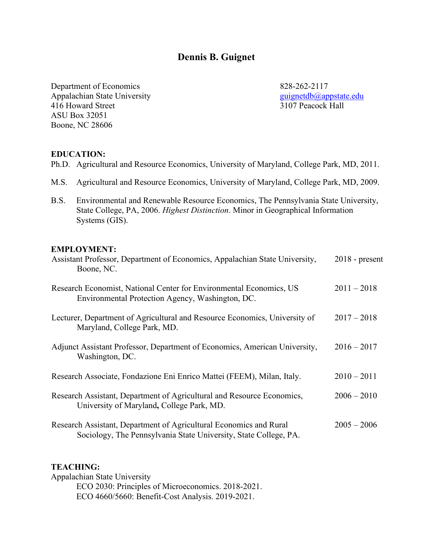# **Dennis B. Guignet**

Department of Economics 828-262-2117 Appalachian State University<br>
416 Howard Street<br>
3107 Peacock Hall 416 Howard Street ASU Box 32051 Boone, NC 28606

# **EDUCATION:**

- Ph.D. Agricultural and Resource Economics, University of Maryland, College Park, MD, 2011.
- M.S. Agricultural and Resource Economics, University of Maryland, College Park, MD, 2009.
- B.S. Environmental and Renewable Resource Economics, The Pennsylvania State University, State College, PA, 2006. *Highest Distinction*. Minor in Geographical Information Systems (GIS).

#### **EMPLOYMENT:**

| Assistant Professor, Department of Economics, Appalachian State University,<br>Boone, NC.                                              | $2018$ - present |
|----------------------------------------------------------------------------------------------------------------------------------------|------------------|
| Research Economist, National Center for Environmental Economics, US<br>Environmental Protection Agency, Washington, DC.                | $2011 - 2018$    |
| Lecturer, Department of Agricultural and Resource Economics, University of<br>Maryland, College Park, MD.                              | $2017 - 2018$    |
| Adjunct Assistant Professor, Department of Economics, American University,<br>Washington, DC.                                          | $2016 - 2017$    |
| Research Associate, Fondazione Eni Enrico Mattei (FEEM), Milan, Italy.                                                                 | $2010 - 2011$    |
| Research Assistant, Department of Agricultural and Resource Economics,<br>University of Maryland, College Park, MD.                    | $2006 - 2010$    |
| Research Assistant, Department of Agricultural Economics and Rural<br>Sociology, The Pennsylvania State University, State College, PA. | $2005 - 2006$    |

# **TEACHING:**

Appalachian State University ECO 2030: Principles of Microeconomics. 2018-2021. ECO 4660/5660: Benefit-Cost Analysis. 2019-2021.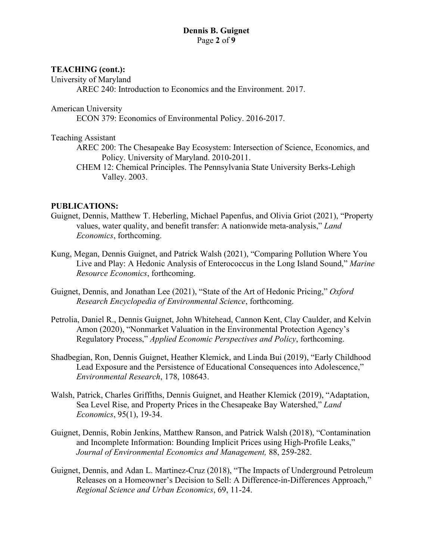#### **Dennis B. Guignet** Page **2** of **9**

# **TEACHING (cont.):**

University of Maryland

AREC 240: Introduction to Economics and the Environment. 2017.

# American University

ECON 379: Economics of Environmental Policy. 2016-2017.

## Teaching Assistant

- AREC 200: The Chesapeake Bay Ecosystem: Intersection of Science, Economics, and Policy. University of Maryland. 2010-2011.
- CHEM 12: Chemical Principles. The Pennsylvania State University Berks-Lehigh Valley. 2003.

# **PUBLICATIONS:**

- Guignet, Dennis, Matthew T. Heberling, Michael Papenfus, and Olivia Griot (2021), "Property values, water quality, and benefit transfer: A nationwide meta-analysis," *Land Economics*, forthcoming.
- Kung, Megan, Dennis Guignet, and Patrick Walsh (2021), "Comparing Pollution Where You Live and Play: A Hedonic Analysis of Enterococcus in the Long Island Sound," *Marine Resource Economics*, forthcoming.
- Guignet, Dennis, and Jonathan Lee (2021), "State of the Art of Hedonic Pricing," *Oxford Research Encyclopedia of Environmental Science*, forthcoming.
- Petrolia, Daniel R., Dennis Guignet, John Whitehead, Cannon Kent, Clay Caulder, and Kelvin Amon (2020), "Nonmarket Valuation in the Environmental Protection Agency's Regulatory Process," *Applied Economic Perspectives and Policy*, forthcoming.
- Shadbegian, Ron, Dennis Guignet, Heather Klemick, and Linda Bui (2019), "Early Childhood Lead Exposure and the Persistence of Educational Consequences into Adolescence," *Environmental Research*, 178, 108643.
- Walsh, Patrick, Charles Griffiths, Dennis Guignet, and Heather Klemick (2019), "Adaptation, Sea Level Rise, and Property Prices in the Chesapeake Bay Watershed," *Land Economics*, 95(1), 19-34.
- Guignet, Dennis, Robin Jenkins, Matthew Ranson, and Patrick Walsh (2018), "Contamination and Incomplete Information: Bounding Implicit Prices using High-Profile Leaks," *Journal of Environmental Economics and Management,* 88, 259-282.
- Guignet, Dennis, and Adan L. Martinez-Cruz (2018), "The Impacts of Underground Petroleum Releases on a Homeowner's Decision to Sell: A Difference-in-Differences Approach," *Regional Science and Urban Economics*, 69, 11-24.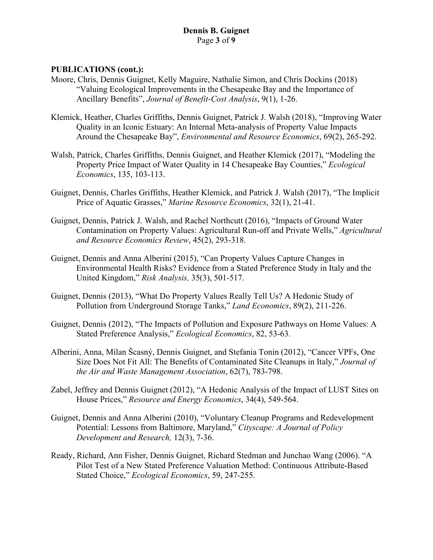### **PUBLICATIONS (cont.):**

- Moore, Chris, Dennis Guignet, Kelly Maguire, Nathalie Simon, and Chris Dockins (2018) "Valuing Ecological Improvements in the Chesapeake Bay and the Importance of Ancillary Benefits", *Journal of Benefit-Cost Analysis*, 9(1), 1-26.
- Klemick, Heather, Charles Griffiths, Dennis Guignet, Patrick J. Walsh (2018), "Improving Water Quality in an Iconic Estuary: An Internal Meta-analysis of Property Value Impacts Around the Chesapeake Bay", *Environmental and Resource Economics*, 69(2), 265-292.
- Walsh, Patrick, Charles Griffiths, Dennis Guignet, and Heather Klemick (2017), "Modeling the Property Price Impact of Water Quality in 14 Chesapeake Bay Counties," *Ecological Economics*, 135, 103-113.
- Guignet, Dennis, Charles Griffiths, Heather Klemick, and Patrick J. Walsh (2017), "The Implicit Price of Aquatic Grasses," *Marine Resource Economics*, 32(1), 21-41.
- Guignet, Dennis, Patrick J. Walsh, and Rachel Northcutt (2016), "Impacts of Ground Water Contamination on Property Values: Agricultural Run-off and Private Wells," *Agricultural and Resource Economics Review*, 45(2), 293-318.
- Guignet, Dennis and Anna Alberini (2015), "Can Property Values Capture Changes in Environmental Health Risks? Evidence from a Stated Preference Study in Italy and the United Kingdom," *Risk Analysis,* 35(3), 501-517.
- Guignet, Dennis (2013), "What Do Property Values Really Tell Us? A Hedonic Study of Pollution from Underground Storage Tanks," *Land Economics*, 89(2), 211-226.
- Guignet, Dennis (2012), "The Impacts of Pollution and Exposure Pathways on Home Values: A Stated Preference Analysis," *Ecological Economics*, 82, 53-63.
- Alberini, Anna, Milan Šcasný, Dennis Guignet, and Stefania Tonin (2012), "Cancer VPFs, One Size Does Not Fit All: The Benefits of Contaminated Site Cleanups in Italy," *Journal of the Air and Waste Management Association*, 62(7), 783-798.
- Zabel, Jeffrey and Dennis Guignet (2012), "A Hedonic Analysis of the Impact of LUST Sites on House Prices," *Resource and Energy Economics*, 34(4), 549-564.
- Guignet, Dennis and Anna Alberini (2010), "Voluntary Cleanup Programs and Redevelopment Potential: Lessons from Baltimore, Maryland," *Cityscape: A Journal of Policy Development and Research,* 12(3), 7-36.
- Ready, Richard, Ann Fisher, Dennis Guignet, Richard Stedman and Junchao Wang (2006). "A Pilot Test of a New Stated Preference Valuation Method: Continuous Attribute-Based Stated Choice," *Ecological Economics*, 59, 247-255.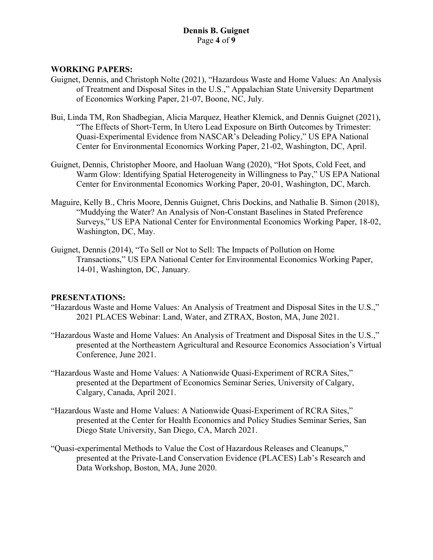# **Dennis B. Guignet** Page **4** of **9**

#### **WORKING PAPERS:**

- Guignet, Dennis, and Christoph Nolte (2021), "Hazardous Waste and Home Values: An Analysis of Treatment and Disposal Sites in the U.S.," Appalachian State University Department of Economics Working Paper, 21-07, Boone, NC, July.
- Bui, Linda TM, Ron Shadbegian, Alicia Marquez, Heather Klemick, and Dennis Guignet (2021), "The Effects of Short-Term, In Utero Lead Exposure on Birth Outcomes by Trimester: Quasi-Experimental Evidence from NASCAR's Deleading Policy," US EPA National Center for Environmental Economics Working Paper, 21-02, Washington, DC, April.
- Guignet, Dennis, Christopher Moore, and Haoluan Wang (2020), "Hot Spots, Cold Feet, and Warm Glow: Identifying Spatial Heterogeneity in Willingness to Pay," US EPA National Center for Environmental Economics Working Paper, 20-01, Washington, DC, March.
- Maguire, Kelly B., Chris Moore, Dennis Guignet, Chris Dockins, and Nathalie B. Simon (2018), "Muddying the Water? An Analysis of Non-Constant Baselines in Stated Preference Surveys," US EPA National Center for Environmental Economics Working Paper, 18-02, Washington, DC, May.
- Guignet, Dennis (2014), "To Sell or Not to Sell: The Impacts of Pollution on Home Transactions," US EPA National Center for Environmental Economics Working Paper, 14-01, Washington, DC, January.

#### **PRESENTATIONS:**

- "Hazardous Waste and Home Values: An Analysis of Treatment and Disposal Sites in the U.S.," 2021 PLACES Webinar: Land, Water, and ZTRAX, Boston, MA, June 2021.
- "Hazardous Waste and Home Values: An Analysis of Treatment and Disposal Sites in the U.S.," presented at the Northeastern Agricultural and Resource Economics Association's Virtual Conference, June 2021.
- "Hazardous Waste and Home Values: A Nationwide Quasi-Experiment of RCRA Sites," presented at the Department of Economics Seminar Series, University of Calgary, Calgary, Canada, April 2021.
- "Hazardous Waste and Home Values: A Nationwide Quasi-Experiment of RCRA Sites," presented at the Center for Health Economics and Policy Studies Seminar Series, San Diego State University, San Diego, CA, March 2021.
- "Quasi-experimental Methods to Value the Cost of Hazardous Releases and Cleanups," presented at the Private-Land Conservation Evidence (PLACES) Lab's Research and Data Workshop, Boston, MA, June 2020.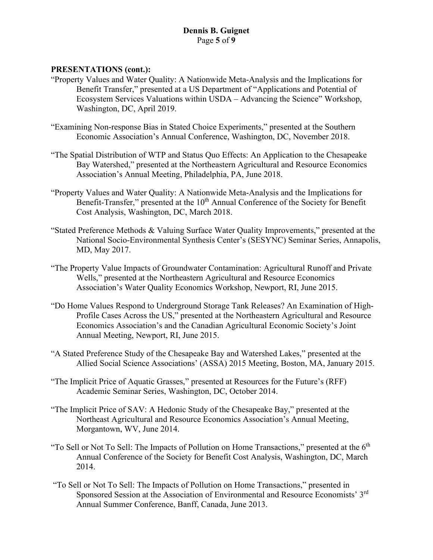# **PRESENTATIONS (cont.):**

- "Property Values and Water Quality: A Nationwide Meta-Analysis and the Implications for Benefit Transfer," presented at a US Department of "Applications and Potential of Ecosystem Services Valuations within USDA – Advancing the Science" Workshop, Washington, DC, April 2019.
- "Examining Non-response Bias in Stated Choice Experiments," presented at the Southern Economic Association's Annual Conference, Washington, DC, November 2018.
- "The Spatial Distribution of WTP and Status Quo Effects: An Application to the Chesapeake Bay Watershed," presented at the Northeastern Agricultural and Resource Economics Association's Annual Meeting, Philadelphia, PA, June 2018.
- "Property Values and Water Quality: A Nationwide Meta-Analysis and the Implications for Benefit-Transfer," presented at the 10<sup>th</sup> Annual Conference of the Society for Benefit Cost Analysis, Washington, DC, March 2018.
- "Stated Preference Methods & Valuing Surface Water Quality Improvements," presented at the National Socio-Environmental Synthesis Center's (SESYNC) Seminar Series, Annapolis, MD, May 2017.
- "The Property Value Impacts of Groundwater Contamination: Agricultural Runoff and Private Wells," presented at the Northeastern Agricultural and Resource Economics Association's Water Quality Economics Workshop, Newport, RI, June 2015.
- "Do Home Values Respond to Underground Storage Tank Releases? An Examination of High-Profile Cases Across the US," presented at the Northeastern Agricultural and Resource Economics Association's and the Canadian Agricultural Economic Society's Joint Annual Meeting, Newport, RI, June 2015.
- "A Stated Preference Study of the Chesapeake Bay and Watershed Lakes," presented at the Allied Social Science Associations' (ASSA) 2015 Meeting, Boston, MA, January 2015.
- "The Implicit Price of Aquatic Grasses," presented at Resources for the Future's (RFF) Academic Seminar Series, Washington, DC, October 2014.
- "The Implicit Price of SAV: A Hedonic Study of the Chesapeake Bay," presented at the Northeast Agricultural and Resource Economics Association's Annual Meeting, Morgantown, WV, June 2014.
- "To Sell or Not To Sell: The Impacts of Pollution on Home Transactions," presented at the  $6<sup>th</sup>$ Annual Conference of the Society for Benefit Cost Analysis, Washington, DC, March 2014.
- "To Sell or Not To Sell: The Impacts of Pollution on Home Transactions," presented in Sponsored Session at the Association of Environmental and Resource Economists' 3rd Annual Summer Conference, Banff, Canada, June 2013.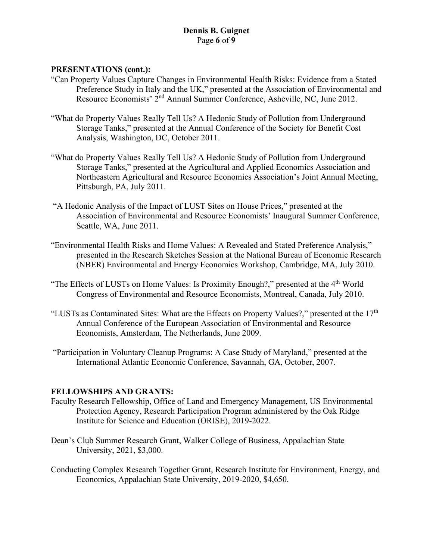# **Dennis B. Guignet** Page **6** of **9**

### **PRESENTATIONS (cont.):**

- "Can Property Values Capture Changes in Environmental Health Risks: Evidence from a Stated Preference Study in Italy and the UK," presented at the Association of Environmental and Resource Economists' 2<sup>nd</sup> Annual Summer Conference, Asheville, NC, June 2012.
- "What do Property Values Really Tell Us? A Hedonic Study of Pollution from Underground Storage Tanks," presented at the Annual Conference of the Society for Benefit Cost Analysis, Washington, DC, October 2011.
- "What do Property Values Really Tell Us? A Hedonic Study of Pollution from Underground Storage Tanks," presented at the Agricultural and Applied Economics Association and Northeastern Agricultural and Resource Economics Association's Joint Annual Meeting, Pittsburgh, PA, July 2011.
- "A Hedonic Analysis of the Impact of LUST Sites on House Prices," presented at the Association of Environmental and Resource Economists' Inaugural Summer Conference, Seattle, WA, June 2011.
- "Environmental Health Risks and Home Values: A Revealed and Stated Preference Analysis," presented in the Research Sketches Session at the National Bureau of Economic Research (NBER) Environmental and Energy Economics Workshop, Cambridge, MA, July 2010.
- "The Effects of LUSTs on Home Values: Is Proximity Enough?," presented at the 4<sup>th</sup> World Congress of Environmental and Resource Economists, Montreal, Canada, July 2010.
- "LUSTs as Contaminated Sites: What are the Effects on Property Values?," presented at the 17<sup>th</sup> Annual Conference of the European Association of Environmental and Resource Economists, Amsterdam, The Netherlands, June 2009.
- "Participation in Voluntary Cleanup Programs: A Case Study of Maryland," presented at the International Atlantic Economic Conference, Savannah, GA, October, 2007.

#### **FELLOWSHIPS AND GRANTS:**

- Faculty Research Fellowship, Office of Land and Emergency Management, US Environmental Protection Agency, Research Participation Program administered by the Oak Ridge Institute for Science and Education (ORISE), 2019-2022.
- Dean's Club Summer Research Grant, Walker College of Business, Appalachian State University, 2021, \$3,000.
- Conducting Complex Research Together Grant, Research Institute for Environment, Energy, and Economics, Appalachian State University, 2019-2020, \$4,650.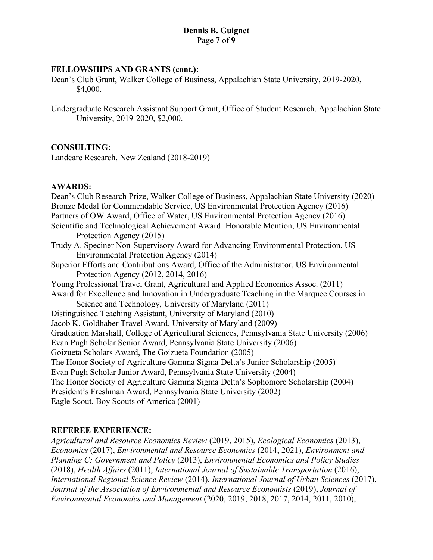#### **FELLOWSHIPS AND GRANTS (cont.):**

Dean's Club Grant, Walker College of Business, Appalachian State University, 2019-2020, \$4,000.

Undergraduate Research Assistant Support Grant, Office of Student Research, Appalachian State University, 2019-2020, \$2,000.

#### **CONSULTING:**

Landcare Research, New Zealand (2018-2019)

#### **AWARDS:**

Dean's Club Research Prize, Walker College of Business, Appalachian State University (2020) Bronze Medal for Commendable Service, US Environmental Protection Agency (2016) Partners of OW Award, Office of Water, US Environmental Protection Agency (2016) Scientific and Technological Achievement Award: Honorable Mention, US Environmental Protection Agency (2015) Trudy A. Speciner Non-Supervisory Award for Advancing Environmental Protection, US Environmental Protection Agency (2014) Superior Efforts and Contributions Award, Office of the Administrator, US Environmental Protection Agency (2012, 2014, 2016) Young Professional Travel Grant, Agricultural and Applied Economics Assoc. (2011) Award for Excellence and Innovation in Undergraduate Teaching in the Marquee Courses in Science and Technology, University of Maryland (2011) Distinguished Teaching Assistant, University of Maryland (2010) Jacob K. Goldhaber Travel Award, University of Maryland (2009) Graduation Marshall, College of Agricultural Sciences, Pennsylvania State University (2006) Evan Pugh Scholar Senior Award, Pennsylvania State University (2006) Goizueta Scholars Award, The Goizueta Foundation (2005) The Honor Society of Agriculture Gamma Sigma Delta's Junior Scholarship (2005) Evan Pugh Scholar Junior Award, Pennsylvania State University (2004) The Honor Society of Agriculture Gamma Sigma Delta's Sophomore Scholarship (2004) President's Freshman Award, Pennsylvania State University (2002) Eagle Scout, Boy Scouts of America (2001)

#### **REFEREE EXPERIENCE:**

*Agricultural and Resource Economics Review* (2019, 2015), *Ecological Economics* (2013), *Economics* (2017), *Environmental and Resource Economics* (2014, 2021), *Environment and Planning C: Government and Policy* (2013), *Environmental Economics and Policy Studies*  (2018), *Health Affairs* (2011), *International Journal of Sustainable Transportation* (2016), *International Regional Science Review* (2014), *International Journal of Urban Sciences* (2017), *Journal of the Association of Environmental and Resource Economists* (2019), *Journal of Environmental Economics and Management* (2020, 2019, 2018, 2017, 2014, 2011, 2010),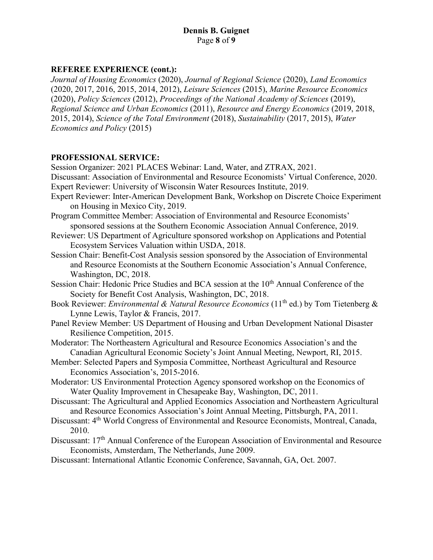# **REFEREE EXPERIENCE (cont.):**

*Journal of Housing Economics* (2020), *Journal of Regional Science* (2020), *Land Economics* (2020, 2017, 2016, 2015, 2014, 2012), *Leisure Sciences* (2015), *Marine Resource Economics*  (2020), *Policy Sciences* (2012), *Proceedings of the National Academy of Sciences* (2019), *Regional Science and Urban Economics* (2011), *Resource and Energy Economics* (2019, 2018, 2015, 2014), *Science of the Total Environment* (2018), *Sustainability* (2017, 2015), *Water Economics and Policy* (2015)

#### **PROFESSIONAL SERVICE:**

Session Organizer: 2021 PLACES Webinar: Land, Water, and ZTRAX, 2021.

Discussant: Association of Environmental and Resource Economists' Virtual Conference, 2020. Expert Reviewer: University of Wisconsin Water Resources Institute, 2019.

- Expert Reviewer: Inter-American Development Bank, Workshop on Discrete Choice Experiment on Housing in Mexico City, 2019.
- Program Committee Member: Association of Environmental and Resource Economists' sponsored sessions at the Southern Economic Association Annual Conference, 2019.
- Reviewer: US Department of Agriculture sponsored workshop on Applications and Potential Ecosystem Services Valuation within USDA, 2018.
- Session Chair: Benefit-Cost Analysis session sponsored by the Association of Environmental and Resource Economists at the Southern Economic Association's Annual Conference, Washington, DC, 2018.
- Session Chair: Hedonic Price Studies and BCA session at the 10<sup>th</sup> Annual Conference of the Society for Benefit Cost Analysis, Washington, DC, 2018.
- Book Reviewer: *Environmental & Natural Resource Economics* (11<sup>th</sup> ed.) by Tom Tietenberg & Lynne Lewis, Taylor & Francis, 2017.
- Panel Review Member: US Department of Housing and Urban Development National Disaster Resilience Competition, 2015.
- Moderator: The Northeastern Agricultural and Resource Economics Association's and the Canadian Agricultural Economic Society's Joint Annual Meeting, Newport, RI, 2015.
- Member: Selected Papers and Symposia Committee, Northeast Agricultural and Resource Economics Association's, 2015-2016.
- Moderator: US Environmental Protection Agency sponsored workshop on the Economics of Water Quality Improvement in Chesapeake Bay, Washington, DC, 2011.
- Discussant: The Agricultural and Applied Economics Association and Northeastern Agricultural and Resource Economics Association's Joint Annual Meeting, Pittsburgh, PA, 2011.
- Discussant: 4th World Congress of Environmental and Resource Economists, Montreal, Canada, 2010.
- Discussant: 17<sup>th</sup> Annual Conference of the European Association of Environmental and Resource Economists, Amsterdam, The Netherlands, June 2009.
- Discussant: International Atlantic Economic Conference, Savannah, GA, Oct. 2007.